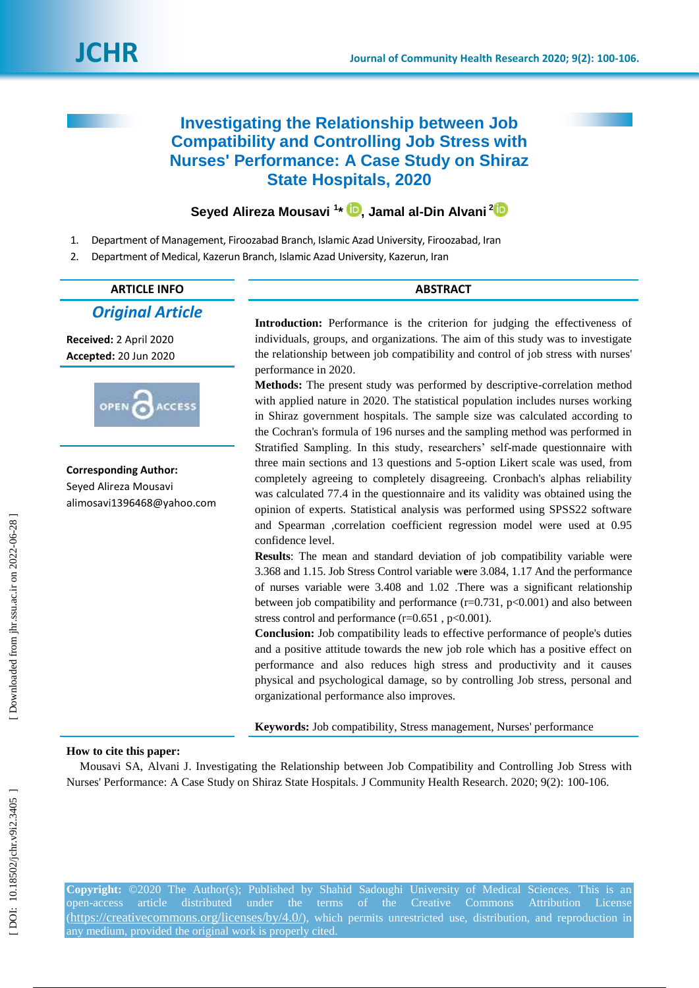# **Investigating the Relationship between Job Compatibility and Controlling Job Stress with Nurses' Performance: A Case Study on Shiraz State Hospitals, 2020**

## **Seyed Alireza Mousavi 1 \* [,](https://orcid.org/0000-0001-5495-6444) Jamal al -Din Alvani 2**

- 1. Department of Management, Firoozabad Branch, Islamic Azad University, Firoozabad, Iran
- 2. Department of Medical, Kazerun Branch, Islamic Azad University, Kazerun, Iran

## **ARTICLE INFO ABSTRACT**

*Original Article*

**Received:**  2 April 2020 **Accepted:** 20 Jun 2020



**Corresponding Author:** Seyed Alireza Mousavi alimosavi1396468@yahoo.com **Introduction:** Performance is the criterion for judging the effectiveness of individuals, groups, and organizations. The aim of this study was to investigate the relationship between job compatibility and control of job stress with nurses' performance in 2020 .

Methods: The present study was performed by descriptive-correlation method with applied nature in 2020. The statistical population includes nurses working in Shiraz government hospitals. The sample size was calculated according to the Cochran's formula of 196 nurses and the sampling method was performed in Stratified Sampling. In this study, researchers' self-made questionnaire with three main sections and 13 questions and 5 -option Likert scale was used, from completely agreeing to completely disagreeing. Cronbach's alphas reliability was calculated 77.4 in the questionnaire and its validity was obtained using the opinion of experts. Statistical analysis was performed using SPSS22 software and Spearman ,correlation coefficient regression model were used at 0.95 confidence level.

**Results**: The mean and standard deviation of job compatibility variable were 3.368 and 1.15. Job Stress Control variable w **e**re 3.084, 1.17 And the performance of nurses variable were 3.408 and 1.02 .There was a significant relationship between job compatibility and performance  $(r=0.731, p<0.001)$  and also between stress control and performance  $(r=0.651, p<0.001)$ .

**Conclusion:** Job compatibility leads to effective performance of people's duties and a positive attitude towards the new job role which has a positive effect on performance and also reduces high stress and productivity and it causes physical and psychological damage, so by controlling Job stress, personal and organizational performance also improves .

**Keywords:** Job compatibility, Stress management, Nurses' performance

### **How to cite this paper:**

Mousavi SA, Alvani J. Investigating the Relationship between Job Compatibility and Controlling Job Stress with Nurses' Performance: A Case Study on Shiraz State Hospitals. J Community Health Research. 2020; 9(2): 100-106.

**Copyright:** ©2020 The Author(s); Published by Shahid Sadoughi University of Medical Sciences. This is an open-access article distributed under the terms of the Creative Commons Attribution License (<https://creativecommons.org/licenses/by/4.0/>), which permits unrestricted use, distribution, and reproduction in any medium, provided the original work is properly cited.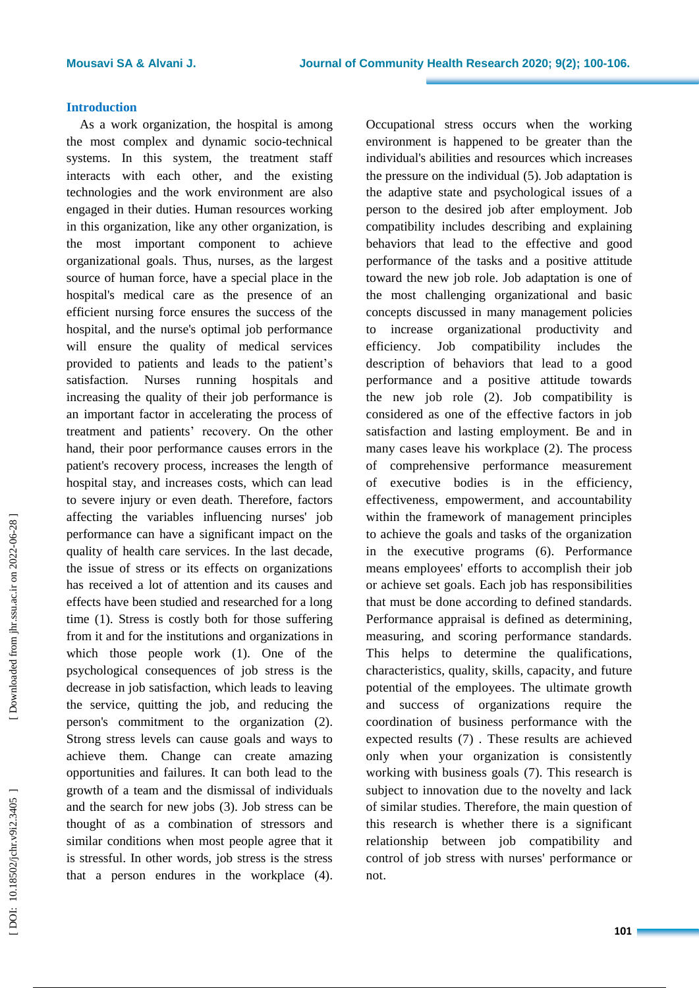#### **Introduction**

As a work organization, the hospital is among the most complex and dynamic socio -technical systems. In this system, the treatment staff interacts with each other, and the existing technologies and the work environment are also engaged in their duties. Human resources working in this organization, like any other organization, is the most important component to achieve organizational goals. Thus, nurses, as the largest source of human force, have a special place in the hospital's medical care as the presence of an efficient nursing force ensures the success of the hospital, and the nurse's optimal job performance will ensure the quality of medical services provided to patients and leads to the patient's satisfaction. Nurses running hospitals and increasing the quality of their job performance is an important factor in accelerating the process of treatment and patients' recovery. On the other hand, their poor performance causes errors in the patient's recovery process, increases the length of hospital stay, and increases costs, which can lead to severe injury or even death. Therefore, factors affecting the variables influencing nurses' job performance can have a significant impact on the quality of health care services. In the last decade, the issue of stress or its effects on organizations has received a lot of attention and its causes and effects have been studied and researched for a long time (1). Stress is costly both for those suffering from it and for the institutions and organizations in which those people work (1). One of the psychological consequences of job stress is the decrease in job satisfaction, which leads to leaving the service, quitting the job , and reducing the person's commitment to the organization ( 2 ). Strong stress levels can cause goals and ways to achieve them. Change can create amazing opportunities and failures. It can both lead to the growth of a team and the dismissal of individuals and the search for new jobs ( 3 ) . Job stress can be thought of as a combination of stressors and similar conditions when most people agree that it is stressful. In other words, job stress is the stress that a person endures in the workplace (4).

Occupational stress occurs when the working environment is happened to be greater than the individual's abilities and resources which increase s the pressure on the individual ( 5 ) . Job adaptation is the adaptive state and psychological issues of a person to the desired job after employment. Job compatibility includes describing and explaining behaviors that lead to the effective and good performance of the tasks and a positive attitude toward the new job role. Job adaptation is one of the most challenging organizational and basic concepts discussed in many management policies to increase organizational productivity and efficiency. Job compatibility includes the description of behaviors that lead to a good performance and a positive attitude towards the new job role ( 2 ) . Job compatibility is considered as one of the effective factors in job satisfaction and lasting employment. Be and in many cases leave his workplace ( 2 ). The process of comprehensive performance measurement of executive bodies is in the efficiency, effectiveness, empowerment , and accountability within the framework of management principles to achieve the goals and tasks of the organization in the executive programs ( 6 ). Performance means employees' efforts to accomplish their job or achieve set goals. Each job has responsibilities that must be done according to defined standards. Performance appraisal is defined as determining, measuring, and scoring performance standards. This helps to determine the qualifications, characteristics, quality, skills, capacity , and future potential of the employees. The ultimate growth and success of organizations require the coordination of business performance with the expected results ( 7 ) . These results are achieved only when your organization is consistently working with business goals (7). This research is subject to innovation due to the novelty and lack of similar studies. Therefore, the main question of this research is whether there is a significant relationship between job compatibility and control of job stress with nurses' performance or not.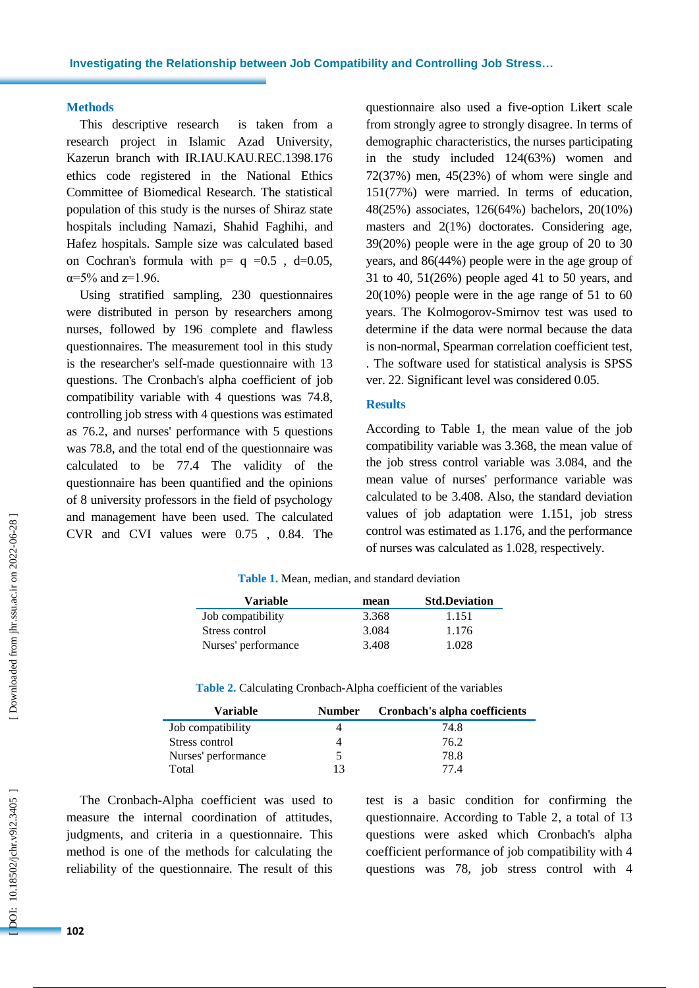#### **Methods**

This descriptive research is taken from a research project in Islamic Azad University, Kazerun branch with IR.IAU.KAU.REC.1398.176 ethics code registered in the National Ethics Committee of Biomedical Research. The statistical population of this study is the nurses of Shiraz state hospitals including Namazi, Shahid Faghihi , and Hafez hospitals. Sample size was calculated based on Cochran's formula with  $p= q = 0.5$ , d=0.05,  $\alpha = 5\%$  and  $z = 1.96$ .

Using stratified sampling, 230 questionnaires were distributed in person by researchers among nurses, followed by 196 complete and flawless questionnaires. The measurement tool in this study is the researcher's self-made questionnaire with 13 questions . The Cronbach's alpha coefficient of job compatibility variable with 4 questions was 74 . 8 , controlling job stress with 4 questions was estimated as 76 . 2 , and nurses' performance with 5 questions was 78 . 8 , and the total end of the questionnaire was calculated to be 77 .4 The validity of the questionnaire has been quantified and the opinions of 8 university professors in the field of psychology and management have been used. The calculated CVR and CVI values were 0.75 , 0.84 . The

questionnaire also used a five -option Likert scale from strongly agree to strongly disagree. In terms of demographic characteristics, the nurses participating in the study included 124(63%) women and 72(37%) men, 45(23%) of whom were single and 151(77%) were married. In terms of education, 48(25%) associates, 126(64%) bachelors, 20(10%) masters and 2(1%) doctorates . Considering age, 39(20%) people were in the age group of 20 to 30 years, and 86(44%) people were in the age group of 31 to 40, 51(26%) people aged <sup>41</sup> to 50 years, and 20(10%) people were in the age range of 51 to 60 years. The Kolmogorov -Smirnov test was used to determine if the data were normal because the data is non -normal, Spearman correlation coefficient test, . The software used for statistical analysis is SPSS ver. 22. Significant level was considered 0.05.

#### **Results**

According to Table 1, the mean value of the job compatibility variable was 3.368, the mean value of the job stress control variable was 3.084, and the mean value of nurses' performance variable was calculated to be 3.408. Also, the standard deviation values of job adaptation were 1.151, job stress control was estimated as 1.176, and the performance of nurses was calculated as 1.028, respectively.

| Variable            | mean  | <b>Std.Deviation</b> |
|---------------------|-------|----------------------|
| Job compatibility   | 3.368 | 1.151                |
| Stress control      | 3.084 | 1.176                |
| Nurses' performance | 3.408 | 1.028                |

**Table 1.** Mean, median, and standard deviation

| <b>Variable</b>     | <b>Number</b> | Cronbach's alpha coefficients |
|---------------------|---------------|-------------------------------|
| Job compatibility   |               | 74.8                          |
| Stress control      |               | 76.2                          |
| Nurses' performance |               | 78.8                          |
| Total               | 13            | 77 4                          |

The Cronbach -Alpha coefficient was used to measure the internal coordination of attitudes, judgments, and criteria in a questionnaire. This method is one of the methods for calculating the reliability of the questionnaire. The result of this

test is a basic condition for confirming the questionnaire. According to Table 2 , a total of 13 questions were asked which Cronbach's alpha coefficient performance of job compatibility with 4 questions was 78 , job stress control with 4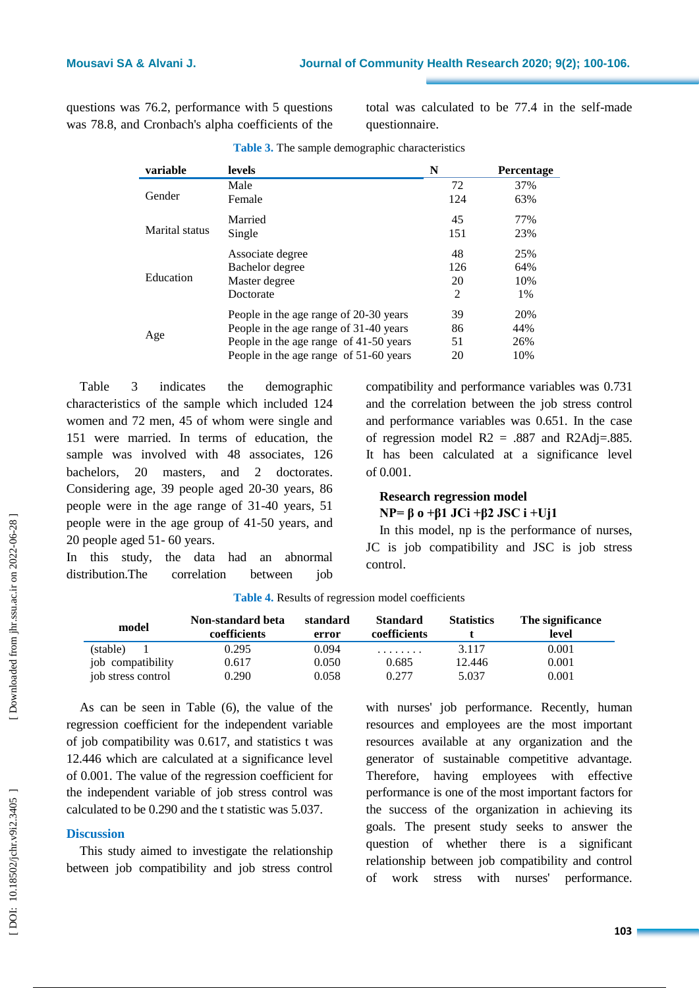questions was 76.2 , performance with 5 questions was 78.8 , and Cronbach's alpha coefficients of the total was calculated to be 77.4 in the self-made questionnaire.

| variable       | levels                                 | N              | <b>Percentage</b> |
|----------------|----------------------------------------|----------------|-------------------|
| Gender         | Male                                   | 72             | 37%               |
|                | Female                                 | 124            | 63%               |
| Marital status | Married                                | 45             | 77%               |
|                | Single                                 | 151            | 23%               |
| Education      | Associate degree                       | 48             | 25%               |
|                | Bachelor degree                        | 126            | 64%               |
|                | Master degree                          | 20             | 10%               |
|                | Doctorate                              | $\overline{2}$ | 1%                |
| Age            | People in the age range of 20-30 years | 39             | 20%               |
|                | People in the age range of 31-40 years | 86             | 44%               |
|                | People in the age range of 41-50 years | 51             | 26%               |
|                | People in the age range of 51-60 years | 20             | 10%               |

**Table 3 .** The sample demographic characteristics

Table 3 indicates the demographic characteristics of the sample which included 124 women and 72 men, 45 of whom were single and 151 were married. In terms of education, the sample was involved with 48 associates, 126 bachelors, 20 masters , and 2 doctorates. Considering age, 39 people aged 20 -30 years, 86 people were in the age range of 31 -40 years, 51 people were in the age group of 41 -50 years, and 20 people aged 51 - 60 years.

In this study, the data had an abnormal distribution.The correlation between job compatibility and performance variables was 0.731 and the correlation between the job stress control and performance variables was 0.651. In the case of regression model  $R2 = .887$  and  $R2\text{Adj} = .885$ . It has been calculated at a significance level of 0.001.

# **Research regression model**

**NP= β o +β1 JCi +β2 JSC i +Uj1**

In this model, np is the performance of nurses, JC is job compatibility and JSC is job stress control .

| model              | Non-standard beta<br>coefficients | standard<br>error | <b>Standard</b><br>coefficients | <b>Statistics</b> | The significance<br>level |
|--------------------|-----------------------------------|-------------------|---------------------------------|-------------------|---------------------------|
| (stable)           | 0.295                             | 0.094             | .                               | 3.117             | 0.001                     |
| job compatibility  | 0.617                             | 0.050             | 0.685                           | 12.446            | 0.001                     |
| job stress control | 0.290                             | 0.058             | 0.277                           | 5.037             | 0.001                     |

**Table 4 .** Results of regression model coefficients

As can be seen in Table ( 6), the value of the regression coefficient for the independent variable of job compatibility was 0.617 , and statistics t was 12.446 which are calculated at a significance level of 0.001. The value of the regression coefficient for the independent variable of job stress control was calculated to be 0.29 0 and the t statistic was 5.037.

#### **Discussion**

This study aimed to investigate the relationship between job compatibility and job stress control with nurses' job performance. Recently, human resources and employees are the most important resources available at any organization and the generator of sustainable competitive advantage. Therefore, having employees with effective performance is one of the most important factors for the success of the organization in achieving its goals. The present study seeks to answer the question of whether there is a significant relationship between job compatibility and control of work stress with nurses' performance.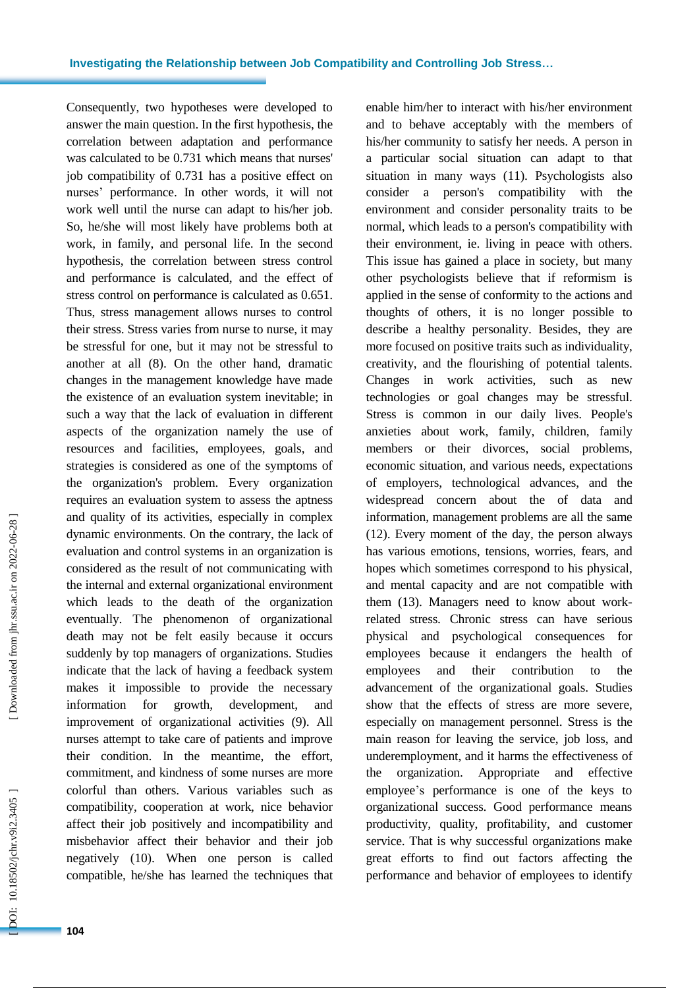Consequently, two hypotheses were developed to answer the main question. In the first hypothesis, the correlation between adaptation and performance was calculated to be 0.731 which means that nurses' job compatibility of 0.731 has a positive effect on nurses' performance. In other words, it will not work well until the nurse can adapt to his/her job. So, he/she will most likely have problems both at work , in family , and personal life. In the second hypothesis, the correlation between stress control and performance is calculated, and the effect of stress control on performance is calculated as 0.651. Thus, stress management allows nurses to control their stress. Stress varies from nurse to nurse, it may be stressful for one, but it may not be stressful to another at all ( 8 ). On the other hand, dramatic changes in the management knowledge have made the existence of an evaluation system inevitable; in such a way that the lack of evaluation in different aspects of the organization namely the use of resources and facilities, employees, goals , and strategies is considered as one of the symptoms of the organization's problem. Every organization requires an evaluation system to assess the aptness and quality of its activities, especially in complex dynamic environments. On the contrary, the lack of evaluation and control system s in an organization is considered as the result of not communicating with the internal and external organizational environment which leads to the death of the organization eventually. The phenomenon of organizational death may not be felt easily because it occurs suddenly by top managers of organizations. Studies indicate that the lack of having a feedback system makes it impossible to provide the necessary information for growth, development , and improvement of organizational activities (9). All nurses attempt to take care of patients and improve their condition . In the meantime, the effort, commitment , and kindness of some nurses are more colorful than others. Various variables such as compatibility , cooperation at work, nice behavior affect their job positively and incompatibility and misbehavior affect their behavior and their job negatively (10 ). When one person is called compatible, he/she has learned the techniques that

enable him/her to interact with his/her environment and to behave acceptably with the members of his/her community to satisfy her needs. A person in a particular social situation can adapt to that situation in many ways (11 ) . Psychologists also consider a person's compatibility with the environment and consider personality traits to be normal, which lead s to a person's compatibility with their environment, ie. living in peace with others. This issue has gained a place in society, but many other psychologists believe that if reformism is applied in the sense of conformity to the actions and thoughts of others, it is no longer possible to describe a healthy personality. Besides, they are more focused on positive traits such as individuality, creativity , and the flourishing of potential talents. Changes in work activities, such as new technologies or goal changes may be stressful. Stress is common in our daily lives. People's anxieties about work, family, children, family members or their divorces, social problems, economic situation , and various needs, expectations of employers, technological advances , and the widespread concern about the of data and information, management problems are all the same (12). Every moment of the day, the person always has various emotions , tensions, worries, fears, and hopes which sometimes correspond to his physical, and mental capacity and are not compatible with them (13). Managers need to know about workrelated stress. Chronic stress can have serious physical and psychological consequences for employees because it endangers the health of employees and their contribution to the advancement of the organizational goals. Studies show that the effects of stress are more severe, especially on management personnel. Stress is the main reason for leaving the service, job loss , and underemployment, and it harms the effectiveness of the organization. Appropriate and effective employee's performance is one of the keys to organizational success. Good performance means productivity, quality, profitability , and customer service. That is why successful organizations make great efforts to find out factors affecting the performance and behavior of employees to identify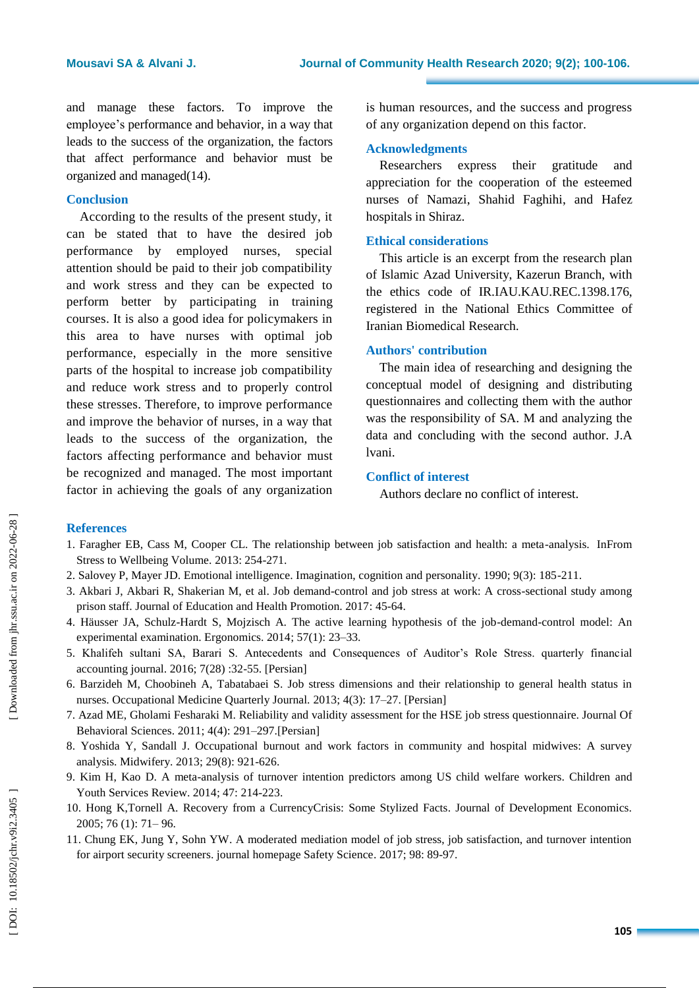and manage these factors. To improve the employee's performance and behavior, in a way that leads to the success of the organization, the factors that affect performance and behavior must be organized and managed (14 ) .

#### **Conclusion**

According to the results of the present study, it can be stated that to have the desired job performance by employed nurses, special attention should be paid to their job compatibility and work stress and they can be expected to perform better by participating in training courses. It is also a good idea for policymakers in this area to have nurses with optimal job performance, especially in the more sensitive parts of the hospital to increase job compatibility and reduce work stress and to properly control these stresses. Therefore, to improve performance and improve the behavior of nurses, in a way that leads to the success of the organization, the factors affecting performance and behavior must be recognized and managed. The most important factor in achieving the goals of any organization

is human resources, and the success and progress of any organization depend on this factor.

#### **Acknowledgments**

Researchers express their gratitude and appreciation for the cooperation of the esteemed nurses of Namazi, Shahid Faghihi , and Hafez hospitals in Shiraz.

#### **Ethical considerations**

This article is an excerpt from the research plan of Islamic Azad University, Kazerun Branch, with the ethics code of IR.IAU.KAU.REC.1398.176, registered in the National Ethics Committee of Iranian Biomedical Research.

#### **Authors' contribution**

The main idea of researching and designing the conceptual model of designing and distributing questionnaires and collecting them with the author was the responsibility of SA. M and analyzing the data and concluding with the second author. J.A lvani.

#### **Conflict of interest**

Authors declare no conflict of interest.

#### **References**

- 1. Faragher EB, Cass M, Cooper CL. The relationship between job satisfaction and health: a meta -analysis. InFrom Stress to Wellbeing Volume. 2013: 254 -271.
- 2 . Salovey P, Mayer JD. Emotional intelligence. Imagination, cognition and personality. 1990; 9(3): 185 -211.
- 3. Akbari J, Akbari R, Shakerian M, et al. Job demand -control and job stress at work: A cross -sectional study among prison staff. Journal of Education and Health Promotion. 2017: 45-64.
- 4. Häusser JA, Schulz -Hardt S, Mojzisch A. The active learning hypothesis of the job -demand -control model: An experimental examination. Ergonomics. 2014; 57(1): 23-33.
- 5. Khalifeh sultani SA, Barari S. Antecedents and Consequences of Auditor's Role Stress. quarterly financial accounting journal. 2016; 7(28) :32 -55 . [Persian]
- 6. Barzideh M, Choobineh A, Tabatabaei S. Job stress dimensions and their relationship to general health status in nurses. Occupational Medicine Quarterly Journal. 2013; 4(3): 17 –27 . [Persian]
- 7. Azad ME, Gholami Fesharaki M. Reliability and validity assessment for the HSE job stress questionnaire. Journal Of Behavioral Sciences . 2011; 4(4): 291 –297.[Persian]
- 8. Yoshida Y, Sandall J. Occupational burnout and work factors in community and hospital midwives: A survey analysis. Midwifery. 201 3 ; 29(8): 921 -626.
- 9. Kim H, Kao D. A meta -analysis of turnover intention predictors among US child welfare workers. Children and Youth Services Review. 2014; 47: 214-223.
- 10. Hong K,Tornell A. Recovery from a CurrencyCrisis: Some Stylized Facts . Journal of Development Economics. 2005 ; 76 (1): 71 – 96.
- 11. Chung EK, Jung Y, Sohn YW. A moderated mediation model of job stress, job satisfaction, and turnover intention for airport security screeners. journal homepage Safety Science. 2017; 98: 89-97.